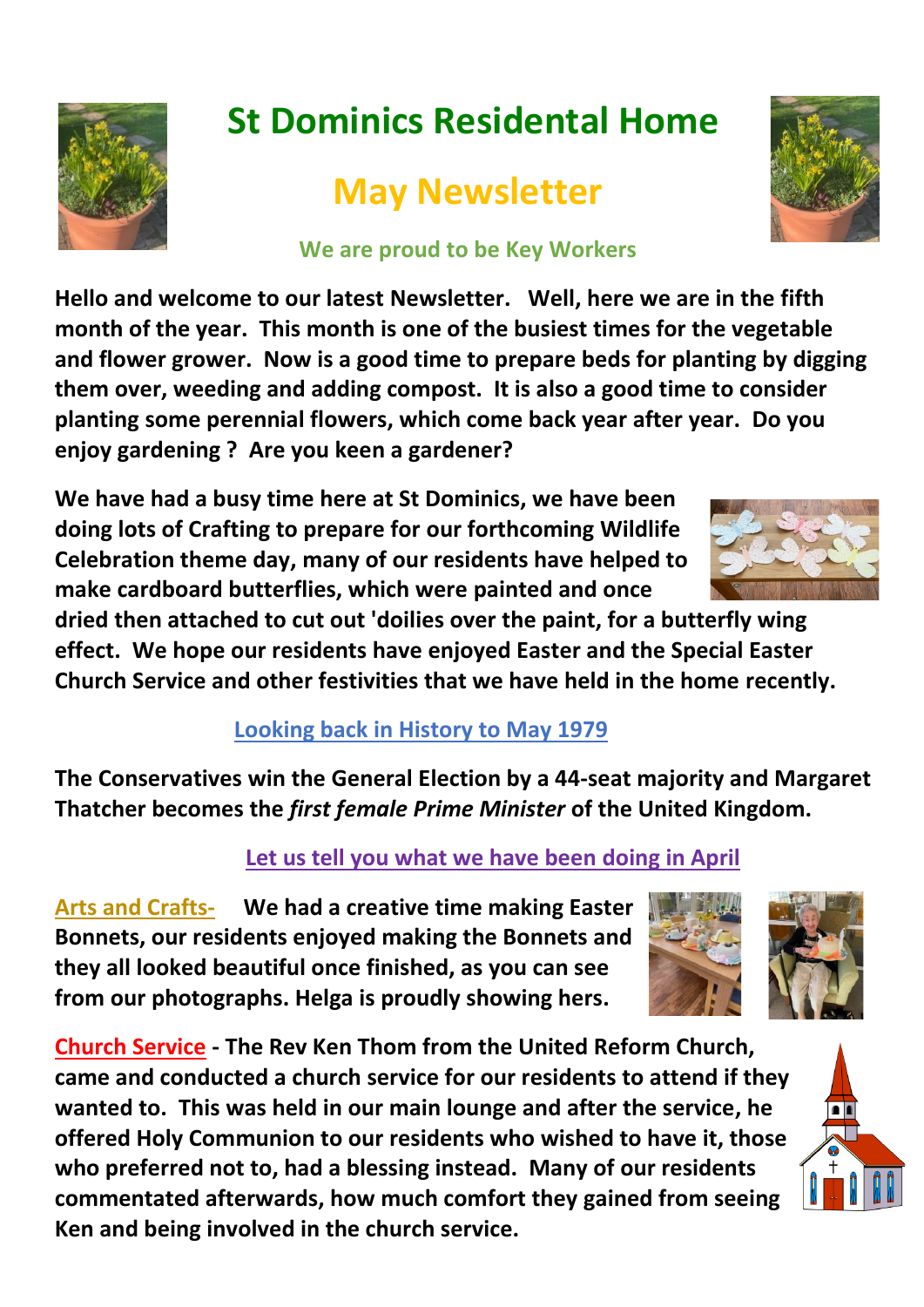

# **St Dominics Residental Home**

## **May Newsletter**

#### **We are proud to be Key Workers**

**Hello and welcome to our latest Newsletter. Well, here we are in the fifth month of the year. This month is one of the busiest times for the vegetable and flower grower. Now is a good time to prepare beds for planting by digging them over, weeding and adding compost. It is also a good time to consider planting some perennial flowers, which come back year after year. Do you enjoy gardening ? Are you keen a gardener?**

**We have had a busy time here at St Dominics, we have been doing lots of Crafting to prepare for our forthcoming Wildlife Celebration theme day, many of our residents have helped to make cardboard butterflies, which were painted and once** 

**dried then attached to cut out 'doilies over the paint, for a butterfly wing effect. We hope our residents have enjoyed Easter and the Special Easter Church Service and other festivities that we have held in the home recently.** 

#### **Looking back in History to May 1979**

**The Conservatives win the General Election by a 44-seat majority and Margaret Thatcher becomes the** *first female Prime Minister* **of the United Kingdom.**

#### **Let us tell you what we have been doing in April**

**Arts and Crafts- We had a creative time making Easter Bonnets, our residents enjoyed making the Bonnets and they all looked beautiful once finished, as you can see from our photographs. Helga is proudly showing hers.** 

**Church Service - The Rev Ken Thom from the United Reform Church, came and conducted a church service for our residents to attend if they wanted to. This was held in our main lounge and after the service, he offered Holy Communion to our residents who wished to have it, those who preferred not to, had a blessing instead. Many of our residents commentated afterwards, how much comfort they gained from seeing Ken and being involved in the church service.**









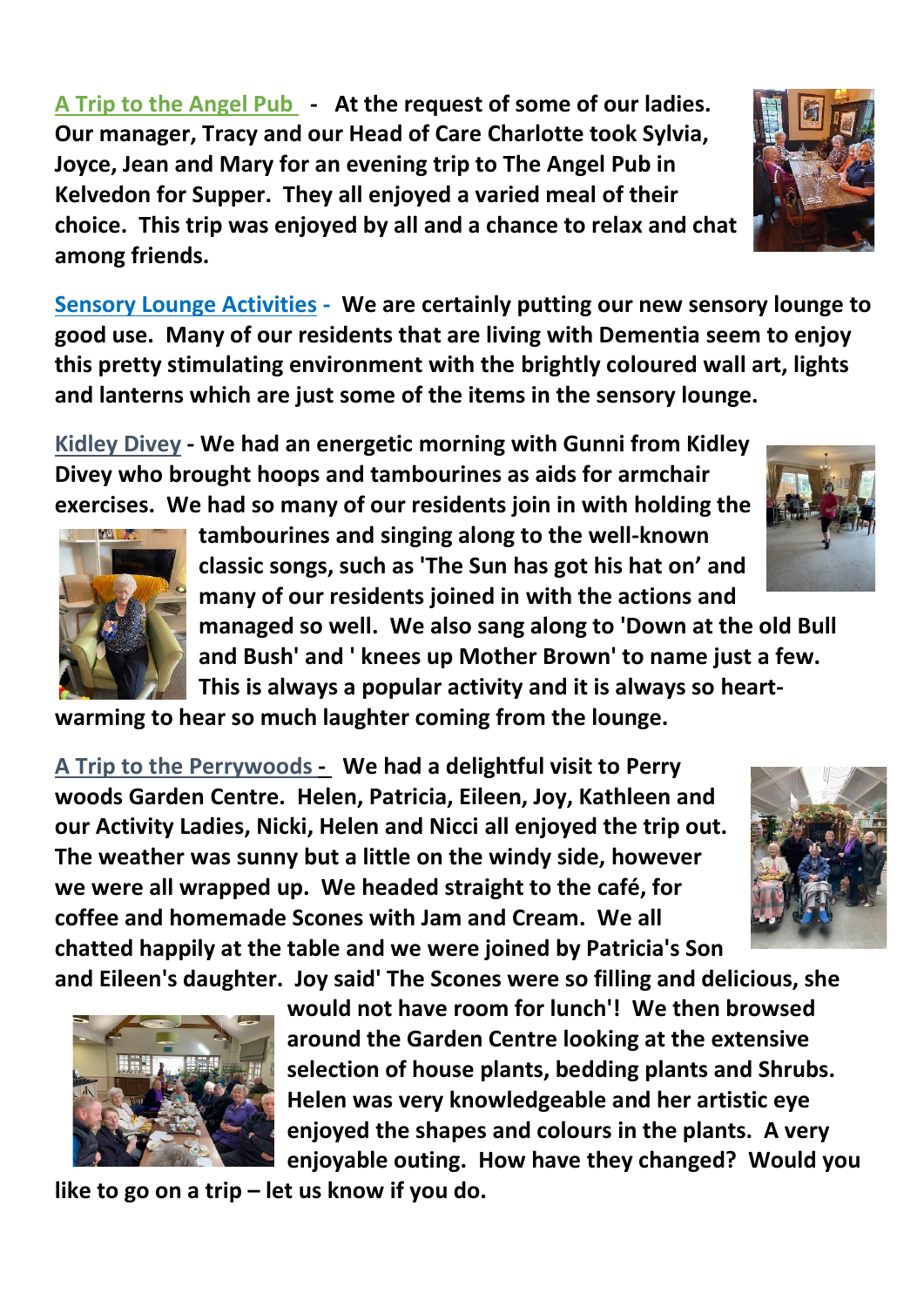**A Trip to the Angel Pub - At the request of some of our ladies. Our manager, Tracy and our Head of Care Charlotte took Sylvia, Joyce, Jean and Mary for an evening trip to The Angel Pub in Kelvedon for Supper. They all enjoyed a varied meal of their choice. This trip was enjoyed by all and a chance to relax and chat among friends.** 

**Sensory Lounge Activities - We are certainly putting our new sensory lounge to good use. Many of our residents that are living with Dementia seem to enjoy this pretty stimulating environment with the brightly coloured wall art, lights and lanterns which are just some of the items in the sensory lounge.** 

**Kidley Divey - We had an energetic morning with Gunni from Kidley Divey who brought hoops and tambourines as aids for armchair exercises. We had so many of our residents join in with holding the** 

> **tambourines and singing along to the well-known classic songs, such as 'The Sun has got his hat on' and many of our residents joined in with the actions and**

**managed so well. We also sang along to 'Down at the old Bull and Bush' and ' knees up Mother Brown' to name just a few. This is always a popular activity and it is always so heart-**

**warming to hear so much laughter coming from the lounge.**

**A Trip to the Perrywoods - We had a delightful visit to Perry woods Garden Centre. Helen, Patricia, Eileen, Joy, Kathleen and our Activity Ladies, Nicki, Helen and Nicci all enjoyed the trip out. The weather was sunny but a little on the windy side, however we were all wrapped up. We headed straight to the café, for coffee and homemade Scones with Jam and Cream. We all chatted happily at the table and we were joined by Patricia's Son and Eileen's daughter. Joy said' The Scones were so filling and delicious, she** 

**would not have room for lunch'! We then browsed around the Garden Centre looking at the extensive selection of house plants, bedding plants and Shrubs. Helen was very knowledgeable and her artistic eye enjoyed the shapes and colours in the plants. A very enjoyable outing. How have they changed? Would you** 

**like to go on a trip – let us know if you do.**



**ALL** 







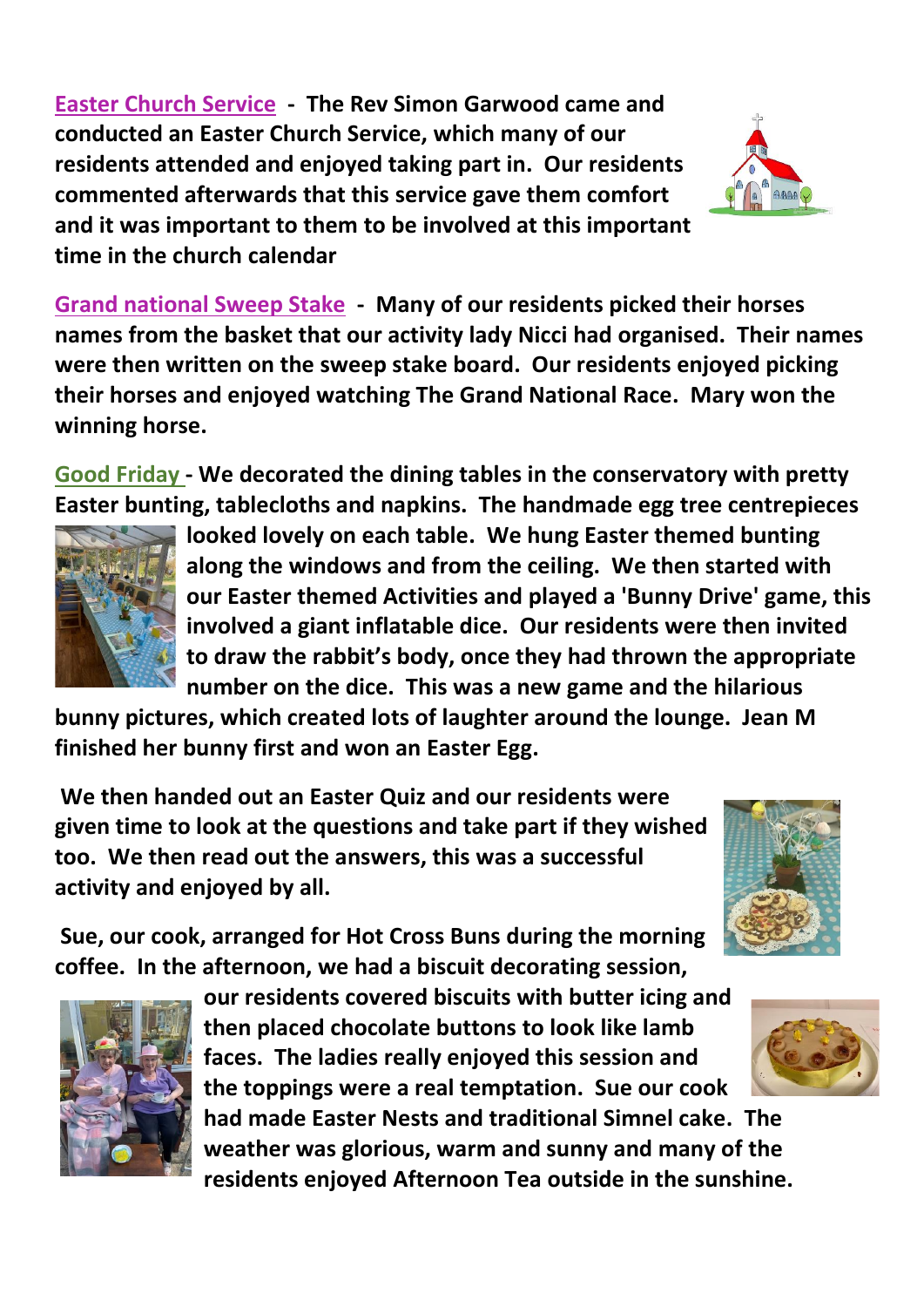**Easter Church Service - The Rev Simon Garwood came and conducted an Easter Church Service, which many of our residents attended and enjoyed taking part in. Our residents commented afterwards that this service gave them comfort and it was important to them to be involved at this important time in the church calendar**



**Grand national Sweep Stake - Many of our residents picked their horses names from the basket that our activity lady Nicci had organised. Their names were then written on the sweep stake board. Our residents enjoyed picking their horses and enjoyed watching The Grand National Race. Mary won the winning horse.** 

**Good Friday - We decorated the dining tables in the conservatory with pretty Easter bunting, tablecloths and napkins. The handmade egg tree centrepieces** 



**looked lovely on each table. We hung Easter themed bunting along the windows and from the ceiling. We then started with our Easter themed Activities and played a 'Bunny Drive' game, this involved a giant inflatable dice. Our residents were then invited to draw the rabbit's body, once they had thrown the appropriate number on the dice. This was a new game and the hilarious** 

**bunny pictures, which created lots of laughter around the lounge. Jean M finished her bunny first and won an Easter Egg.** 

**We then handed out an Easter Quiz and our residents were given time to look at the questions and take part if they wished too. We then read out the answers, this was a successful activity and enjoyed by all.** 



**Sue, our cook, arranged for Hot Cross Buns during the morning coffee. In the afternoon, we had a biscuit decorating session,** 



**our residents covered biscuits with butter icing and then placed chocolate buttons to look like lamb faces. The ladies really enjoyed this session and the toppings were a real temptation. Sue our cook had made Easter Nests and traditional Simnel cake. The weather was glorious, warm and sunny and many of the residents enjoyed Afternoon Tea outside in the sunshine.**

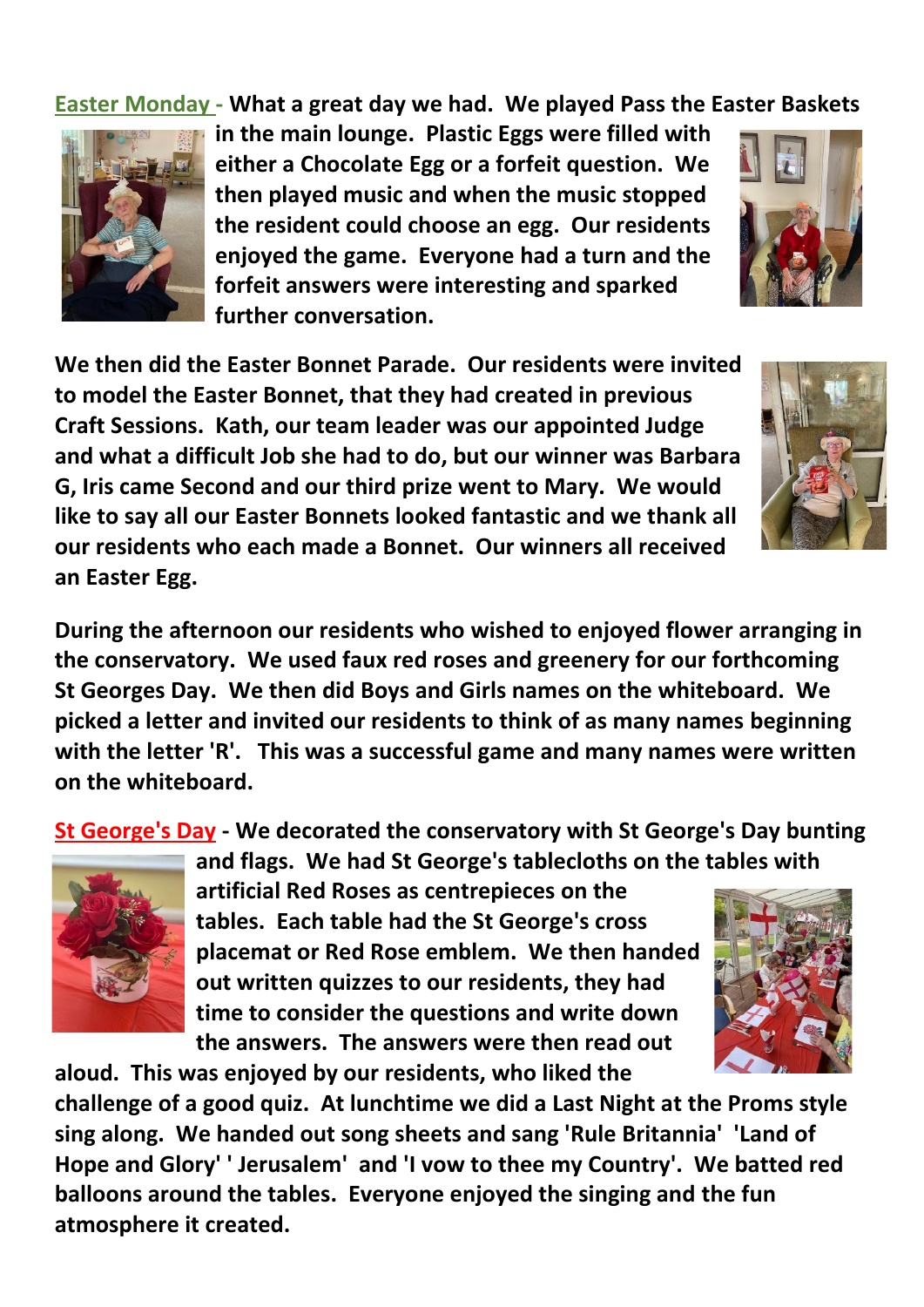**Easter Monday - What a great day we had. We played Pass the Easter Baskets** 



**in the main lounge. Plastic Eggs were filled with either a Chocolate Egg or a forfeit question. We then played music and when the music stopped the resident could choose an egg. Our residents enjoyed the game. Everyone had a turn and the forfeit answers were interesting and sparked further conversation.** 

**We then did the Easter Bonnet Parade. Our residents were invited to model the Easter Bonnet, that they had created in previous Craft Sessions. Kath, our team leader was our appointed Judge and what a difficult Job she had to do, but our winner was Barbara G, Iris came Second and our third prize went to Mary. We would like to say all our Easter Bonnets looked fantastic and we thank all our residents who each made a Bonnet. Our winners all received an Easter Egg.** 



**During the afternoon our residents who wished to enjoyed flower arranging in the conservatory. We used faux red roses and greenery for our forthcoming St Georges Day. We then did Boys and Girls names on the whiteboard. We picked a letter and invited our residents to think of as many names beginning with the letter 'R'. This was a successful game and many names were written on the whiteboard.**

**St George's Day - We decorated the conservatory with St George's Day bunting** 



**and flags. We had St George's tablecloths on the tables with artificial Red Roses as centrepieces on the tables. Each table had the St George's cross placemat or Red Rose emblem. We then handed out written quizzes to our residents, they had time to consider the questions and write down the answers. The answers were then read out** 

**aloud. This was enjoyed by our residents, who liked the** 



**challenge of a good quiz. At lunchtime we did a Last Night at the Proms style sing along. We handed out song sheets and sang 'Rule Britannia' 'Land of Hope and Glory' ' Jerusalem' and 'I vow to thee my Country'. We batted red balloons around the tables. Everyone enjoyed the singing and the fun atmosphere it created.**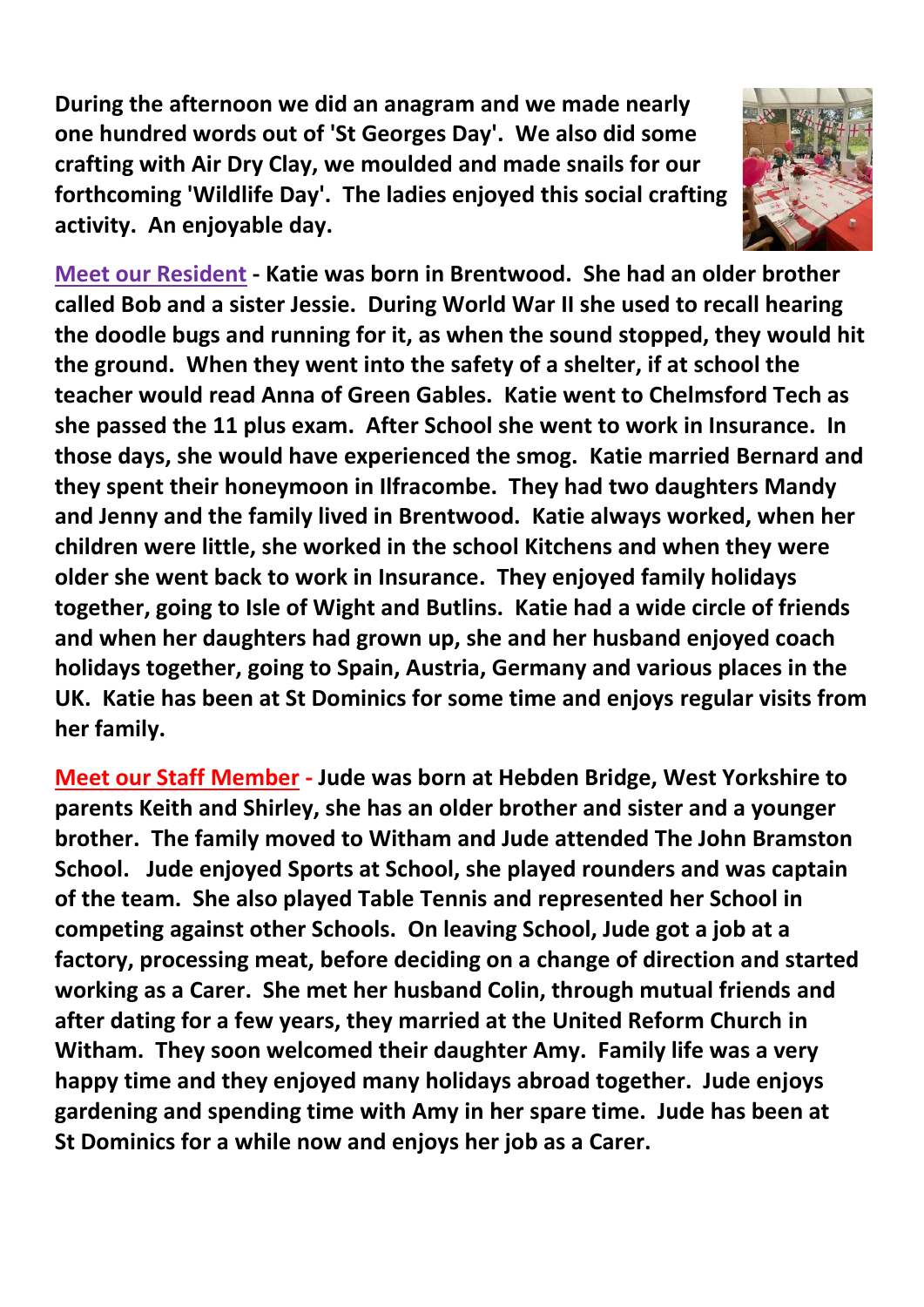**During the afternoon we did an anagram and we made nearly one hundred words out of 'St Georges Day'. We also did some crafting with Air Dry Clay, we moulded and made snails for our forthcoming 'Wildlife Day'. The ladies enjoyed this social crafting activity. An enjoyable day.**



**Meet our Resident - Katie was born in Brentwood. She had an older brother called Bob and a sister Jessie. During World War II she used to recall hearing the doodle bugs and running for it, as when the sound stopped, they would hit the ground. When they went into the safety of a shelter, if at school the teacher would read Anna of Green Gables. Katie went to Chelmsford Tech as she passed the 11 plus exam. After School she went to work in Insurance. In those days, she would have experienced the smog. Katie married Bernard and they spent their honeymoon in Ilfracombe. They had two daughters Mandy and Jenny and the family lived in Brentwood. Katie always worked, when her children were little, she worked in the school Kitchens and when they were older she went back to work in Insurance. They enjoyed family holidays together, going to Isle of Wight and Butlins. Katie had a wide circle of friends and when her daughters had grown up, she and her husband enjoyed coach holidays together, going to Spain, Austria, Germany and various places in the UK. Katie has been at St Dominics for some time and enjoys regular visits from her family.**

**Meet our Staff Member - Jude was born at Hebden Bridge, West Yorkshire to parents Keith and Shirley, she has an older brother and sister and a younger brother. The family moved to Witham and Jude attended The John Bramston School. Jude enjoyed Sports at School, she played rounders and was captain of the team. She also played Table Tennis and represented her School in competing against other Schools. On leaving School, Jude got a job at a factory, processing meat, before deciding on a change of direction and started working as a Carer. She met her husband Colin, through mutual friends and after dating for a few years, they married at the United Reform Church in Witham. They soon welcomed their daughter Amy. Family life was a very happy time and they enjoyed many holidays abroad together. Jude enjoys gardening and spending time with Amy in her spare time. Jude has been at St Dominics for a while now and enjoys her job as a Carer.**